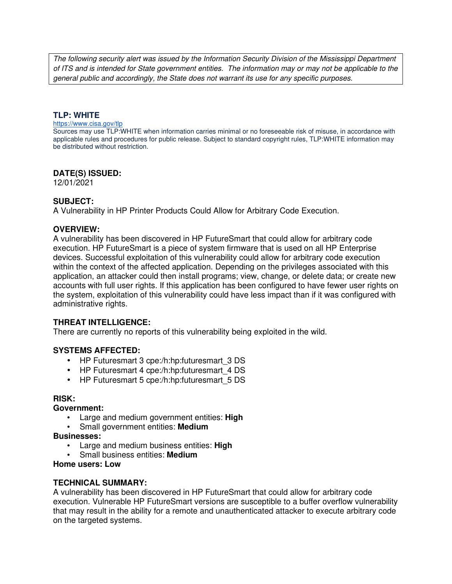The following security alert was issued by the Information Security Division of the Mississippi Department of ITS and is intended for State government entities. The information may or may not be applicable to the general public and accordingly, the State does not warrant its use for any specific purposes.

## **TLP: WHITE**

#### https://www.cisa.gov/tlp

Sources may use TLP:WHITE when information carries minimal or no foreseeable risk of misuse, in accordance with applicable rules and procedures for public release. Subject to standard copyright rules, TLP:WHITE information may be distributed without restriction.

## **DATE(S) ISSUED:**

12/01/2021

## **SUBJECT:**

A Vulnerability in HP Printer Products Could Allow for Arbitrary Code Execution.

## **OVERVIEW:**

A vulnerability has been discovered in HP FutureSmart that could allow for arbitrary code execution. HP FutureSmart is a piece of system firmware that is used on all HP Enterprise devices. Successful exploitation of this vulnerability could allow for arbitrary code execution within the context of the affected application. Depending on the privileges associated with this application, an attacker could then install programs; view, change, or delete data; or create new accounts with full user rights. If this application has been configured to have fewer user rights on the system, exploitation of this vulnerability could have less impact than if it was configured with administrative rights.

# **THREAT INTELLIGENCE:**

There are currently no reports of this vulnerability being exploited in the wild.

# **SYSTEMS AFFECTED:**

- HP Futuresmart 3 cpe:/h:hp:futuresmart\_3 DS
- HP Futuresmart 4 cpe:/h:hp:futuresmart 4 DS
- HP Futuresmart 5 cpe:/h:hp:futuresmart 5 DS

### **RISK:**

### **Government:**

- Large and medium government entities: **High**
- Small government entities: **Medium**

### **Businesses:**

- Large and medium business entities: **High**
- Small business entities: **Medium**

### **Home users: Low**

### **TECHNICAL SUMMARY:**

A vulnerability has been discovered in HP FutureSmart that could allow for arbitrary code execution. Vulnerable HP FutureSmart versions are susceptible to a buffer overflow vulnerability that may result in the ability for a remote and unauthenticated attacker to execute arbitrary code on the targeted systems.